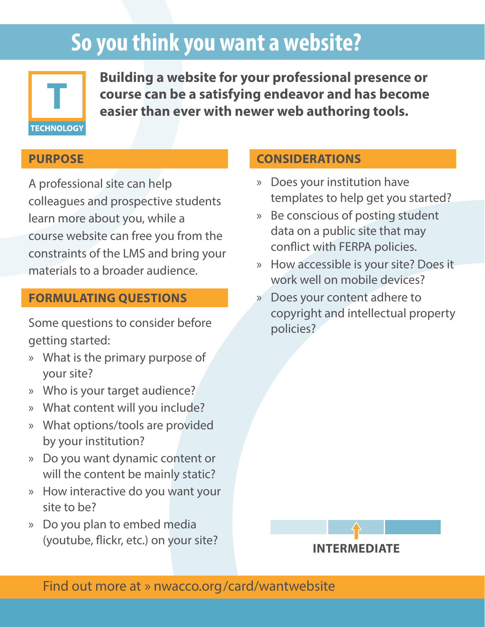# **So you think you want a website?**



**Building a website for your professional presence or course can be a satisfying endeavor and has become easier than ever with newer web authoring tools.**

#### **PURPOSE**

A professional site can help colleagues and prospective students learn more about you, while a course website can free you from the constraints of the LMS and bring your materials to a broader audience.

#### **FORMULATING QUESTIONS**

Some questions to consider before getting started:

- » What is the primary purpose of your site?
- » Who is your target audience?
- » What content will you include?
- » What options/tools are provided by your institution?
- » Do you want dynamic content or will the content be mainly static?
- » How interactive do you want your site to be?
- » Do you plan to embed media (youtube, flickr, etc.) on your site?

## **CONSIDERATIONS**

- » Does your institution have templates to help get you started?
- » Be conscious of posting student data on a public site that may conflict with FERPA policies.
- » How accessible is your site? Does it work well on mobile devices?
- » Does your content adhere to copyright and intellectual property policies?